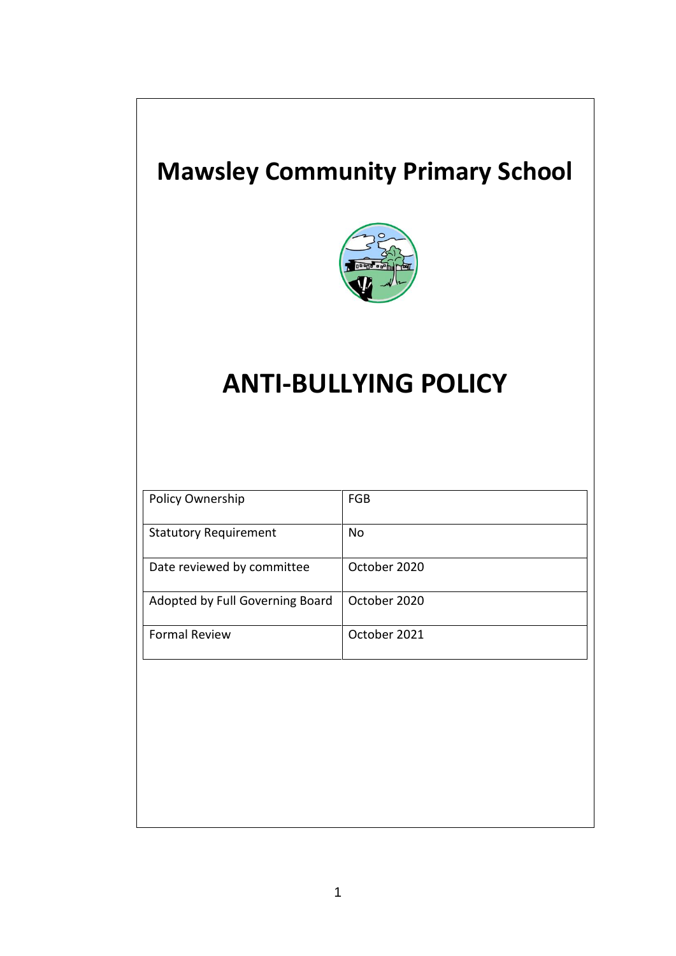## **Mawsley Community Primary School**



# **ANTI-BULLYING POLICY**

| Policy Ownership                | <b>FGB</b>   |
|---------------------------------|--------------|
| <b>Statutory Requirement</b>    | <b>No</b>    |
| Date reviewed by committee      | October 2020 |
| Adopted by Full Governing Board | October 2020 |
| <b>Formal Review</b>            | October 2021 |
|                                 |              |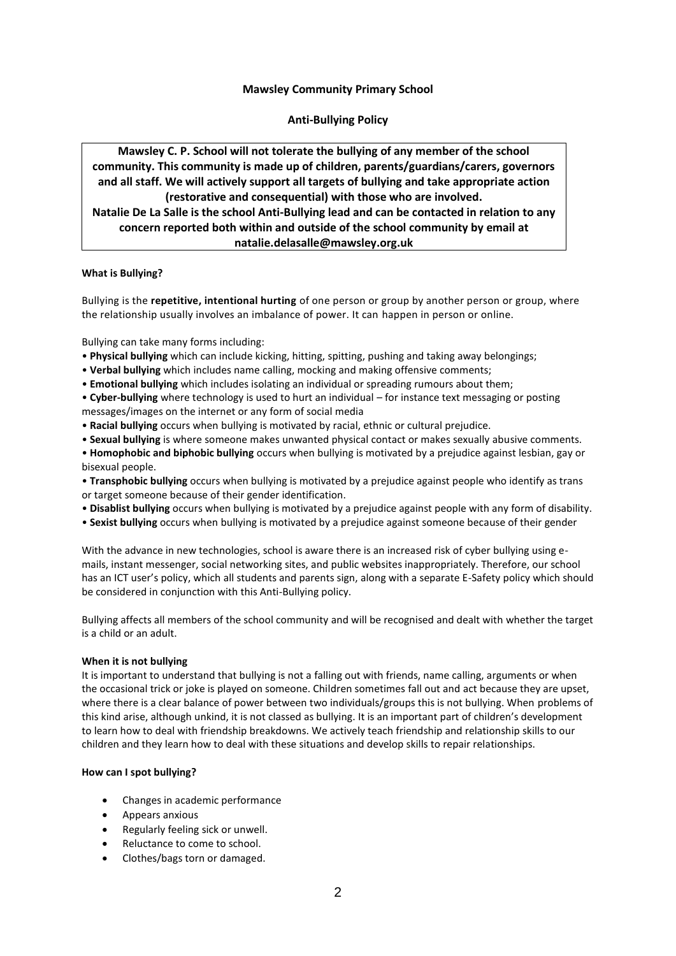### **Mawsley Community Primary School**

**Anti-Bullying Policy**

**Mawsley C. P. School will not tolerate the bullying of any member of the school community. This community is made up of children, parents/guardians/carers, governors and all staff. We will actively support all targets of bullying and take appropriate action (restorative and consequential) with those who are involved. Natalie De La Salle is the school Anti-Bullying lead and can be contacted in relation to any concern reported both within and outside of the school community by email at natalie.delasalle@mawsley.org.uk**

#### **What is Bullying?**

Bullying is the **repetitive, intentional hurting** of one person or group by another person or group, where the relationship usually involves an imbalance of power. It can happen in person or online.

Bullying can take many forms including:

- **Physical bullying** which can include kicking, hitting, spitting, pushing and taking away belongings;
- **Verbal bullying** which includes name calling, mocking and making offensive comments;
- **Emotional bullying** which includes isolating an individual or spreading rumours about them;
- **Cyber-bullying** where technology is used to hurt an individual for instance text messaging or posting messages/images on the internet or any form of social media
- **Racial bullying** occurs when bullying is motivated by racial, ethnic or cultural prejudice.
- **Sexual bullying** is where someone makes unwanted physical contact or makes sexually abusive comments.
- **Homophobic and biphobic bullying** occurs when bullying is motivated by a prejudice against lesbian, gay or bisexual people.
- **Transphobic bullying** occurs when bullying is motivated by a prejudice against people who identify as trans or target someone because of their gender identification.
- **Disablist bullying** occurs when bullying is motivated by a prejudice against people with any form of disability.
- **Sexist bullying** occurs when bullying is motivated by a prejudice against someone because of their gender

With the advance in new technologies, school is aware there is an increased risk of cyber bullying using emails, instant messenger, social networking sites, and public websites inappropriately. Therefore, our school has an ICT user's policy, which all students and parents sign, along with a separate E-Safety policy which should be considered in conjunction with this Anti-Bullying policy.

Bullying affects all members of the school community and will be recognised and dealt with whether the target is a child or an adult.

#### **When it is not bullying**

It is important to understand that bullying is not a falling out with friends, name calling, arguments or when the occasional trick or joke is played on someone. Children sometimes fall out and act because they are upset, where there is a clear balance of power between two individuals/groups this is not bullying. When problems of this kind arise, although unkind, it is not classed as bullying. It is an important part of children's development to learn how to deal with friendship breakdowns. We actively teach friendship and relationship skills to our children and they learn how to deal with these situations and develop skills to repair relationships.

#### **How can I spot bullying?**

- Changes in academic performance
- Appears anxious
- Regularly feeling sick or unwell.
- Reluctance to come to school.
- Clothes/bags torn or damaged.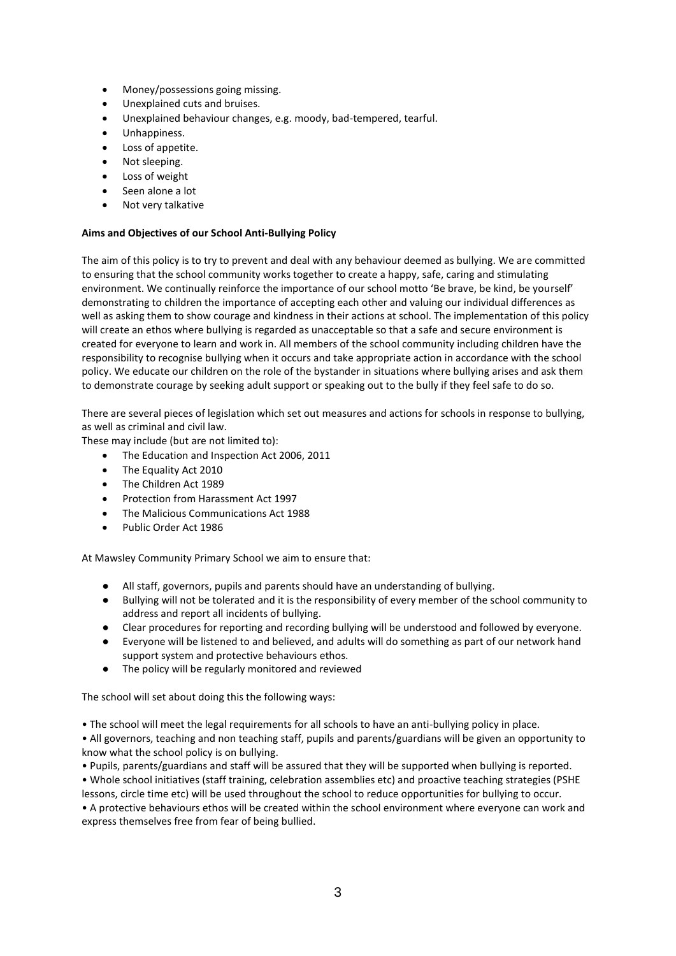- Money/possessions going missing.
- Unexplained cuts and bruises.
- Unexplained behaviour changes, e.g. moody, bad-tempered, tearful.
- Unhappiness.
- Loss of appetite.
- Not sleeping.
- Loss of weight
- Seen alone a lot
- Not very talkative

#### **Aims and Objectives of our School Anti-Bullying Policy**

The aim of this policy is to try to prevent and deal with any behaviour deemed as bullying. We are committed to ensuring that the school community works together to create a happy, safe, caring and stimulating environment. We continually reinforce the importance of our school motto 'Be brave, be kind, be yourself' demonstrating to children the importance of accepting each other and valuing our individual differences as well as asking them to show courage and kindness in their actions at school. The implementation of this policy will create an ethos where bullying is regarded as unacceptable so that a safe and secure environment is created for everyone to learn and work in. All members of the school community including children have the responsibility to recognise bullying when it occurs and take appropriate action in accordance with the school policy. We educate our children on the role of the bystander in situations where bullying arises and ask them to demonstrate courage by seeking adult support or speaking out to the bully if they feel safe to do so.

There are several pieces of legislation which set out measures and actions for schools in response to bullying, as well as criminal and civil law.

These may include (but are not limited to):

- The Education and Inspection Act 2006, 2011
- The Equality Act 2010
- The Children Act 1989
- Protection from Harassment Act 1997
- The Malicious Communications Act 1988
- Public Order Act 1986

At Mawsley Community Primary School we aim to ensure that:

- All staff, governors, pupils and parents should have an understanding of bullying.
- Bullying will not be tolerated and it is the responsibility of every member of the school community to address and report all incidents of bullying.
- Clear procedures for reporting and recording bullying will be understood and followed by everyone.
- Everyone will be listened to and believed, and adults will do something as part of our network hand support system and protective behaviours ethos.
- The policy will be regularly monitored and reviewed

The school will set about doing this the following ways:

• The school will meet the legal requirements for all schools to have an anti-bullying policy in place.

• All governors, teaching and non teaching staff, pupils and parents/guardians will be given an opportunity to know what the school policy is on bullying.

• Pupils, parents/guardians and staff will be assured that they will be supported when bullying is reported.

• Whole school initiatives (staff training, celebration assemblies etc) and proactive teaching strategies (PSHE lessons, circle time etc) will be used throughout the school to reduce opportunities for bullying to occur.

• A protective behaviours ethos will be created within the school environment where everyone can work and express themselves free from fear of being bullied.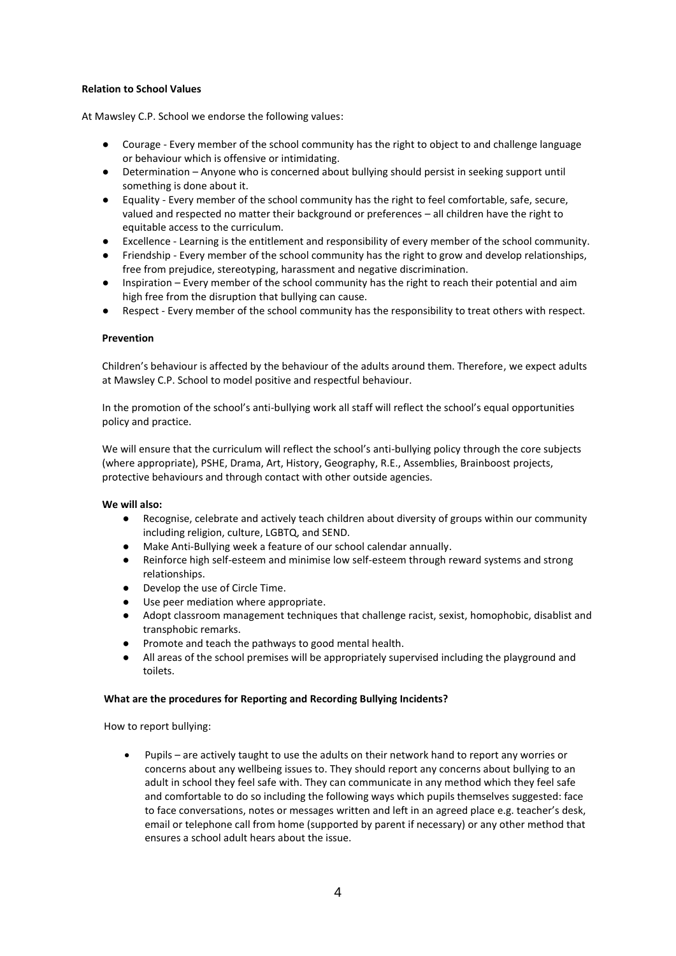#### **Relation to School Values**

At Mawsley C.P. School we endorse the following values:

- Courage Every member of the school community has the right to object to and challenge language or behaviour which is offensive or intimidating.
- Determination Anyone who is concerned about bullying should persist in seeking support until something is done about it.
- Equality Every member of the school community has the right to feel comfortable, safe, secure, valued and respected no matter their background or preferences – all children have the right to equitable access to the curriculum.
- Excellence Learning is the entitlement and responsibility of every member of the school community.
- Friendship Every member of the school community has the right to grow and develop relationships, free from prejudice, stereotyping, harassment and negative discrimination.
- Inspiration Every member of the school community has the right to reach their potential and aim high free from the disruption that bullying can cause.
- Respect Every member of the school community has the responsibility to treat others with respect.

#### **Prevention**

Children's behaviour is affected by the behaviour of the adults around them. Therefore, we expect adults at Mawsley C.P. School to model positive and respectful behaviour.

In the promotion of the school's anti-bullying work all staff will reflect the school's equal opportunities policy and practice.

We will ensure that the curriculum will reflect the school's anti-bullying policy through the core subjects (where appropriate), PSHE, Drama, Art, History, Geography, R.E., Assemblies, Brainboost projects, protective behaviours and through contact with other outside agencies.

#### **We will also:**

- Recognise, celebrate and actively teach children about diversity of groups within our community including religion, culture, LGBTQ, and SEND.
- Make Anti-Bullying week a feature of our school calendar annually.
- Reinforce high self-esteem and minimise low self-esteem through reward systems and strong relationships.
- Develop the use of Circle Time.
- Use peer mediation where appropriate.
- Adopt classroom management techniques that challenge racist, sexist, homophobic, disablist and transphobic remarks.
- Promote and teach the pathways to good mental health.
- All areas of the school premises will be appropriately supervised including the playground and toilets.

#### **What are the procedures for Reporting and Recording Bullying Incidents?**

How to report bullying:

 Pupils – are actively taught to use the adults on their network hand to report any worries or concerns about any wellbeing issues to. They should report any concerns about bullying to an adult in school they feel safe with. They can communicate in any method which they feel safe and comfortable to do so including the following ways which pupils themselves suggested: face to face conversations, notes or messages written and left in an agreed place e.g. teacher's desk, email or telephone call from home (supported by parent if necessary) or any other method that ensures a school adult hears about the issue.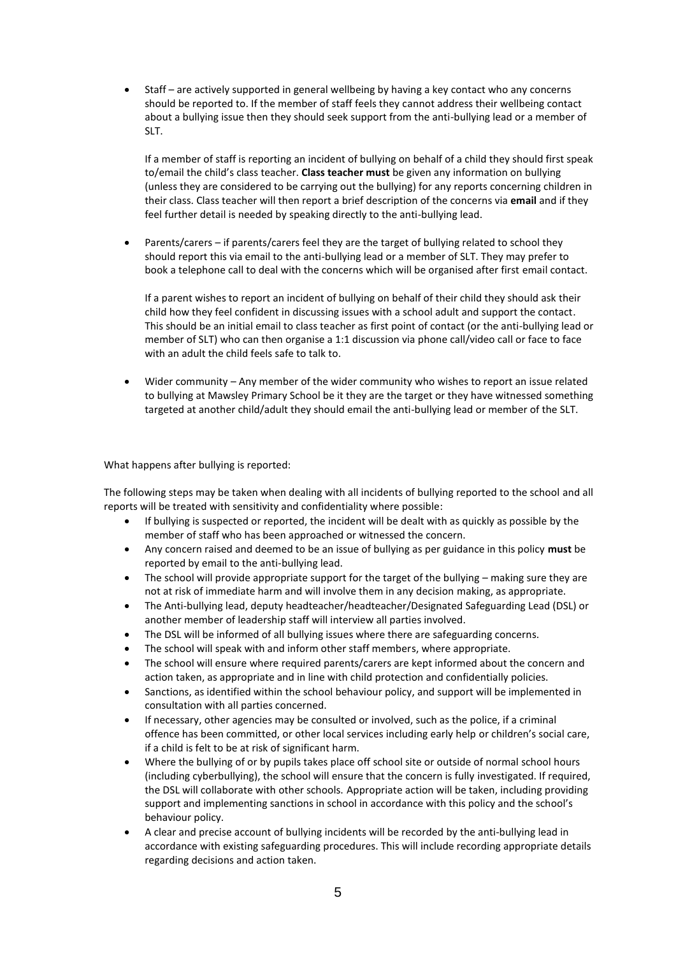Staff – are actively supported in general wellbeing by having a key contact who any concerns should be reported to. If the member of staff feels they cannot address their wellbeing contact about a bullying issue then they should seek support from the anti-bullying lead or a member of SLT.

If a member of staff is reporting an incident of bullying on behalf of a child they should first speak to/email the child's class teacher. **Class teacher must** be given any information on bullying (unless they are considered to be carrying out the bullying) for any reports concerning children in their class. Class teacher will then report a brief description of the concerns via **email** and if they feel further detail is needed by speaking directly to the anti-bullying lead.

 Parents/carers – if parents/carers feel they are the target of bullying related to school they should report this via email to the anti-bullying lead or a member of SLT. They may prefer to book a telephone call to deal with the concerns which will be organised after first email contact.

If a parent wishes to report an incident of bullying on behalf of their child they should ask their child how they feel confident in discussing issues with a school adult and support the contact. This should be an initial email to class teacher as first point of contact (or the anti-bullying lead or member of SLT) who can then organise a 1:1 discussion via phone call/video call or face to face with an adult the child feels safe to talk to.

 Wider community – Any member of the wider community who wishes to report an issue related to bullying at Mawsley Primary School be it they are the target or they have witnessed something targeted at another child/adult they should email the anti-bullying lead or member of the SLT.

What happens after bullying is reported:

The following steps may be taken when dealing with all incidents of bullying reported to the school and all reports will be treated with sensitivity and confidentiality where possible:

- If bullying is suspected or reported, the incident will be dealt with as quickly as possible by the member of staff who has been approached or witnessed the concern.
- Any concern raised and deemed to be an issue of bullying as per guidance in this policy **must** be reported by email to the anti-bullying lead.
- The school will provide appropriate support for the target of the bullying making sure they are not at risk of immediate harm and will involve them in any decision making, as appropriate.
- The Anti-bullying lead, deputy headteacher/headteacher/Designated Safeguarding Lead (DSL) or another member of leadership staff will interview all parties involved.
- The DSL will be informed of all bullying issues where there are safeguarding concerns.
- The school will speak with and inform other staff members, where appropriate.
- The school will ensure where required parents/carers are kept informed about the concern and action taken, as appropriate and in line with child protection and confidentially policies.
- Sanctions, as identified within the school behaviour policy, and support will be implemented in consultation with all parties concerned.
- If necessary, other agencies may be consulted or involved, such as the police, if a criminal offence has been committed, or other local services including early help or children's social care, if a child is felt to be at risk of significant harm.
- Where the bullying of or by pupils takes place off school site or outside of normal school hours (including cyberbullying), the school will ensure that the concern is fully investigated. If required, the DSL will collaborate with other schools. Appropriate action will be taken, including providing support and implementing sanctions in school in accordance with this policy and the school's behaviour policy.
- A clear and precise account of bullying incidents will be recorded by the anti-bullying lead in accordance with existing safeguarding procedures. This will include recording appropriate details regarding decisions and action taken.